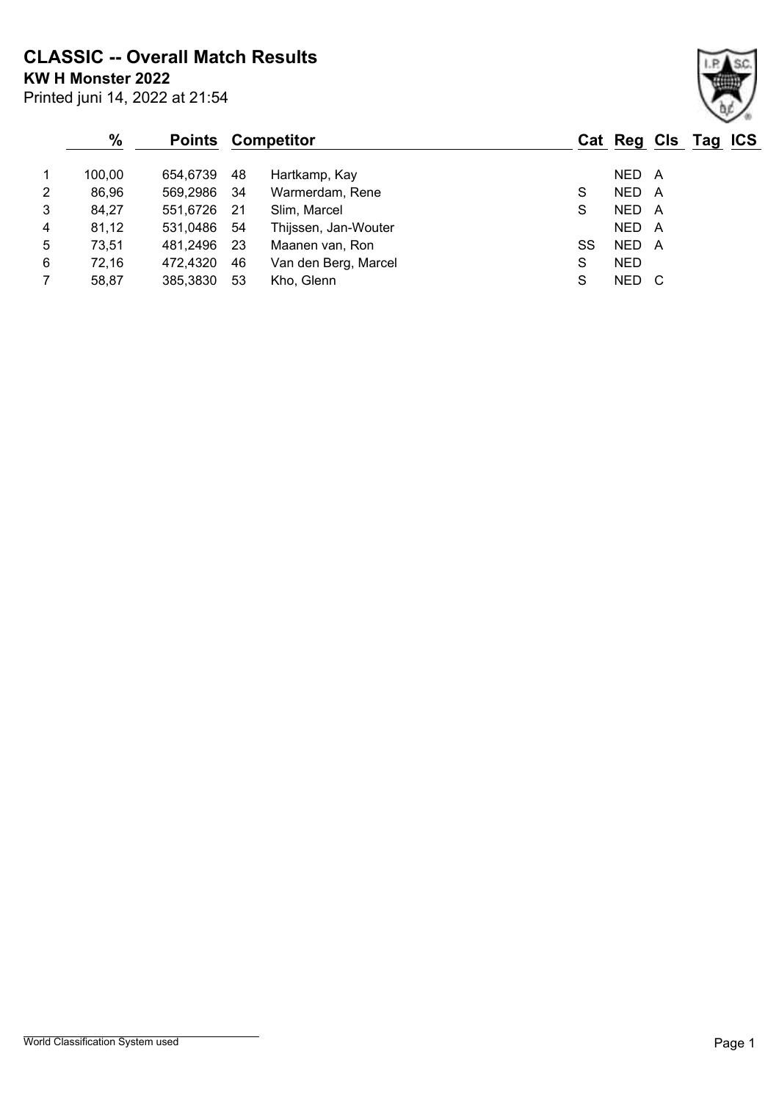**CLASSIC -- Overall Match Results**

Printed juni 14, 2022 at 21:54 **KW H Monster 2022**

#### **% Points Competitor Cat Reg Cls Tag ICS** 1 100,00 654,6739 48 Hartkamp, Kay Ne Hartkamp, Assembly NED A 2 86,96 569,2986 34 Warmerdam, Rene S S NED A 3 84,27 551,6726 21 Slim, Marcel S NED A 4 81,12 531,0486 54 Thijssen, Jan-Wouter NED A 5 73,51 481,2496 23 Maanen van, Ron SS NED A 6 72,16 472,4320 46 Van den Berg, Marcel S NED 7 58,87 385,3830 53 Kho, Glenn S NED C

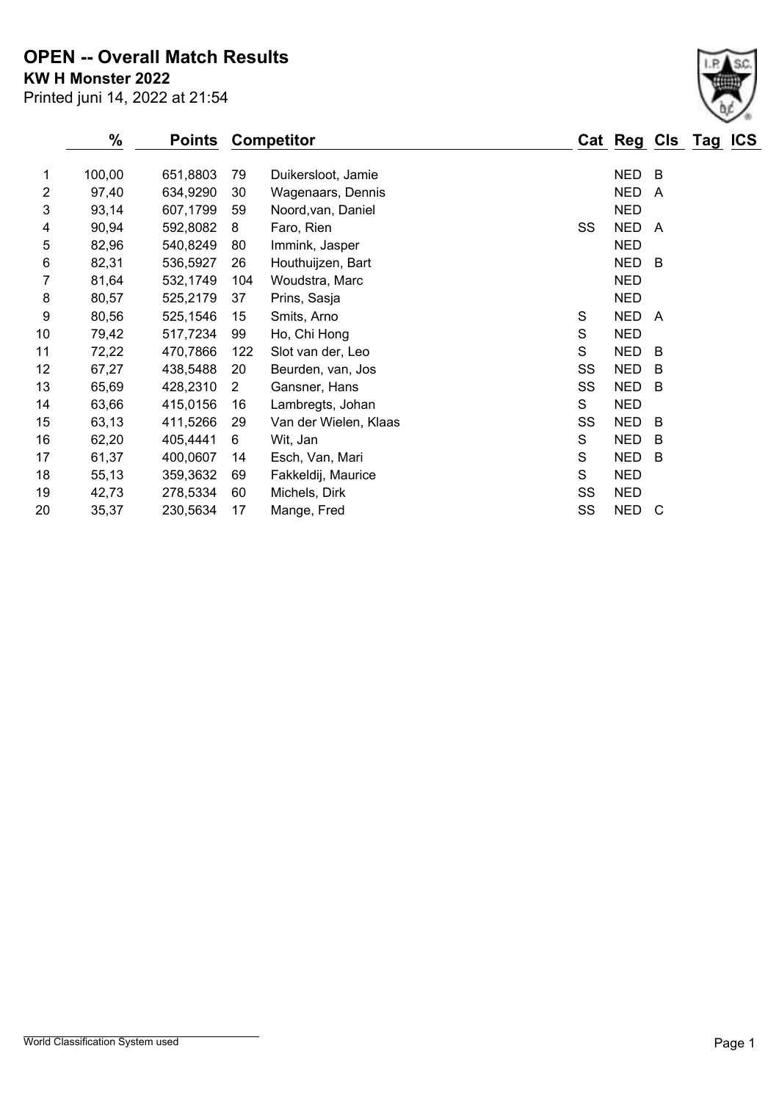**KW H Monster 2022 OPEN -- Overall Match Results**

Printed juni 14, 2022 at 21:54

|                | %      | Points   |                | <b>Competitor</b>     |    | Cat Reg Cls Tag |                | <b>ICS</b> |
|----------------|--------|----------|----------------|-----------------------|----|-----------------|----------------|------------|
| 1              | 100,00 | 651,8803 | 79             | Duikersloot, Jamie    |    | <b>NED</b>      | В              |            |
| $\overline{2}$ | 97,40  | 634,9290 | 30             | Wagenaars, Dennis     |    | <b>NED</b>      | $\overline{A}$ |            |
| 3              | 93,14  | 607,1799 | 59             | Noord, van, Daniel    |    | <b>NED</b>      |                |            |
| 4              | 90,94  | 592,8082 | 8              | Faro, Rien            | SS | <b>NED</b>      | A              |            |
| 5              | 82,96  | 540,8249 | 80             | Immink, Jasper        |    | <b>NED</b>      |                |            |
| 6              | 82,31  | 536,5927 | 26             | Houthuijzen, Bart     |    | <b>NED</b>      | B              |            |
| 7              | 81,64  | 532,1749 | 104            | Woudstra, Marc        |    | <b>NED</b>      |                |            |
| 8              | 80,57  | 525,2179 | 37             | Prins, Sasja          |    | <b>NED</b>      |                |            |
| 9              | 80,56  | 525,1546 | 15             | Smits, Arno           | S  | <b>NED</b>      | A              |            |
| 10             | 79,42  | 517,7234 | 99             | Ho, Chi Hong          | S  | <b>NED</b>      |                |            |
| 11             | 72,22  | 470,7866 | 122            | Slot van der, Leo     | S  | <b>NED</b>      | B              |            |
| 12             | 67,27  | 438,5488 | 20             | Beurden, van, Jos     | SS | <b>NED</b>      | B              |            |
| 13             | 65,69  | 428,2310 | $\overline{2}$ | Gansner, Hans         | SS | <b>NED</b>      | B              |            |
| 14             | 63,66  | 415,0156 | 16             | Lambregts, Johan      | S  | <b>NED</b>      |                |            |
| 15             | 63,13  | 411,5266 | 29             | Van der Wielen, Klaas | SS | <b>NED</b>      | B              |            |
| 16             | 62,20  | 405,4441 | 6              | Wit, Jan              | S  | <b>NED</b>      | B              |            |
| 17             | 61,37  | 400,0607 | 14             | Esch, Van, Mari       | S  | <b>NED</b>      | B              |            |
| 18             | 55,13  | 359,3632 | 69             | Fakkeldij, Maurice    | S  | <b>NED</b>      |                |            |
| 19             | 42,73  | 278,5334 | 60             | Michels, Dirk         | SS | <b>NED</b>      |                |            |
| 20             | 35,37  | 230,5634 | 17             | Mange, Fred           | SS | <b>NED</b>      | C              |            |

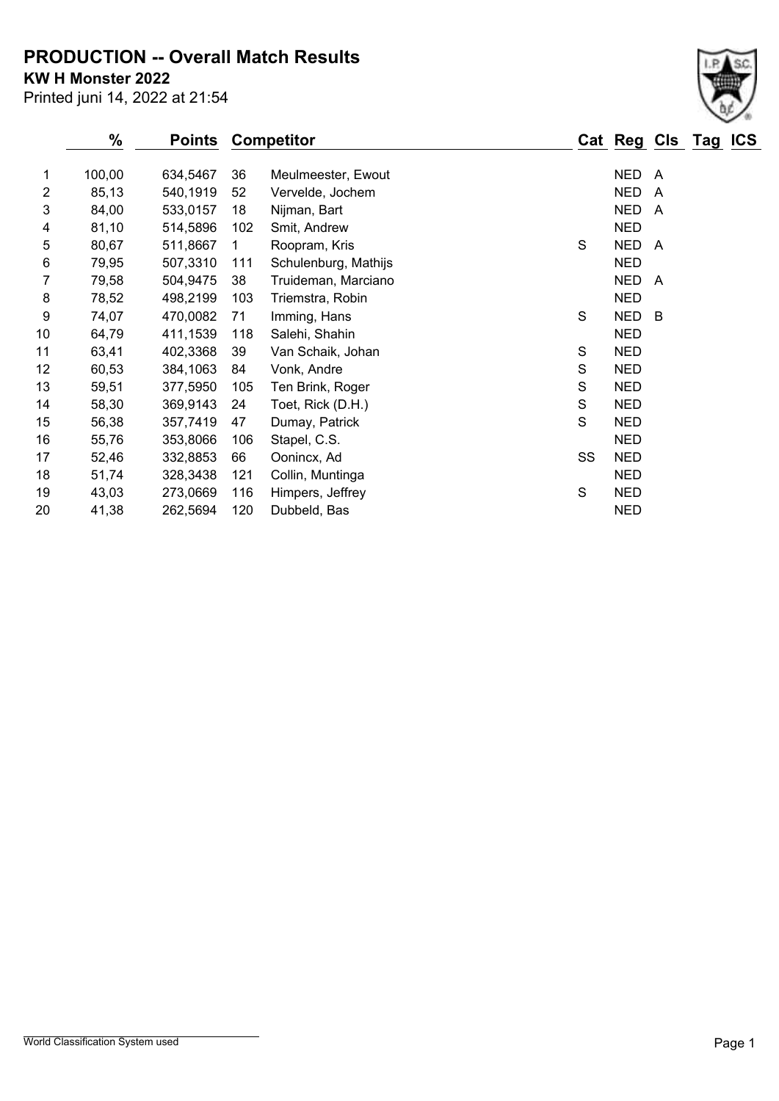**PRODUCTION -- Overall Match Results**

**KW H Monster 2022**

Printed juni 14, 2022 at 21:54

|    | %      | Points   |     | <b>Competitor</b>    |    | Cat Reg Cls Tag |                         | <b>ICS</b> |
|----|--------|----------|-----|----------------------|----|-----------------|-------------------------|------------|
| 1  | 100,00 | 634,5467 | 36  | Meulmeester, Ewout   |    | <b>NED</b>      | A                       |            |
| 2  | 85,13  | 540,1919 | 52  | Vervelde, Jochem     |    | <b>NED</b>      | $\overline{\mathsf{A}}$ |            |
| 3  | 84,00  | 533,0157 | 18  | Nijman, Bart         |    | <b>NED</b>      | A                       |            |
| 4  | 81,10  | 514,5896 | 102 | Smit, Andrew         |    | <b>NED</b>      |                         |            |
| 5  | 80,67  | 511,8667 | 1   | Roopram, Kris        | S  | <b>NED</b>      | A                       |            |
| 6  | 79,95  | 507,3310 | 111 | Schulenburg, Mathijs |    | <b>NED</b>      |                         |            |
| 7  | 79,58  | 504,9475 | 38  | Truideman, Marciano  |    | <b>NED</b>      | A                       |            |
| 8  | 78,52  | 498,2199 | 103 | Triemstra, Robin     |    | <b>NED</b>      |                         |            |
| 9  | 74,07  | 470,0082 | 71  | Imming, Hans         | S  | <b>NED</b>      | B                       |            |
| 10 | 64,79  | 411,1539 | 118 | Salehi, Shahin       |    | <b>NED</b>      |                         |            |
| 11 | 63,41  | 402,3368 | 39  | Van Schaik, Johan    | S  | <b>NED</b>      |                         |            |
| 12 | 60,53  | 384,1063 | 84  | Vonk, Andre          | S  | <b>NED</b>      |                         |            |
| 13 | 59,51  | 377,5950 | 105 | Ten Brink, Roger     | S  | <b>NED</b>      |                         |            |
| 14 | 58,30  | 369,9143 | 24  | Toet, Rick (D.H.)    | S  | <b>NED</b>      |                         |            |
| 15 | 56,38  | 357,7419 | 47  | Dumay, Patrick       | S  | <b>NED</b>      |                         |            |
| 16 | 55,76  | 353,8066 | 106 | Stapel, C.S.         |    | <b>NED</b>      |                         |            |
| 17 | 52,46  | 332,8853 | 66  | Oonincx, Ad          | SS | <b>NED</b>      |                         |            |
| 18 | 51,74  | 328,3438 | 121 | Collin, Muntinga     |    | <b>NED</b>      |                         |            |
| 19 | 43,03  | 273,0669 | 116 | Himpers, Jeffrey     | S  | <b>NED</b>      |                         |            |
| 20 | 41,38  | 262,5694 | 120 | Dubbeld, Bas         |    | <b>NED</b>      |                         |            |
|    |        |          |     |                      |    |                 |                         |            |

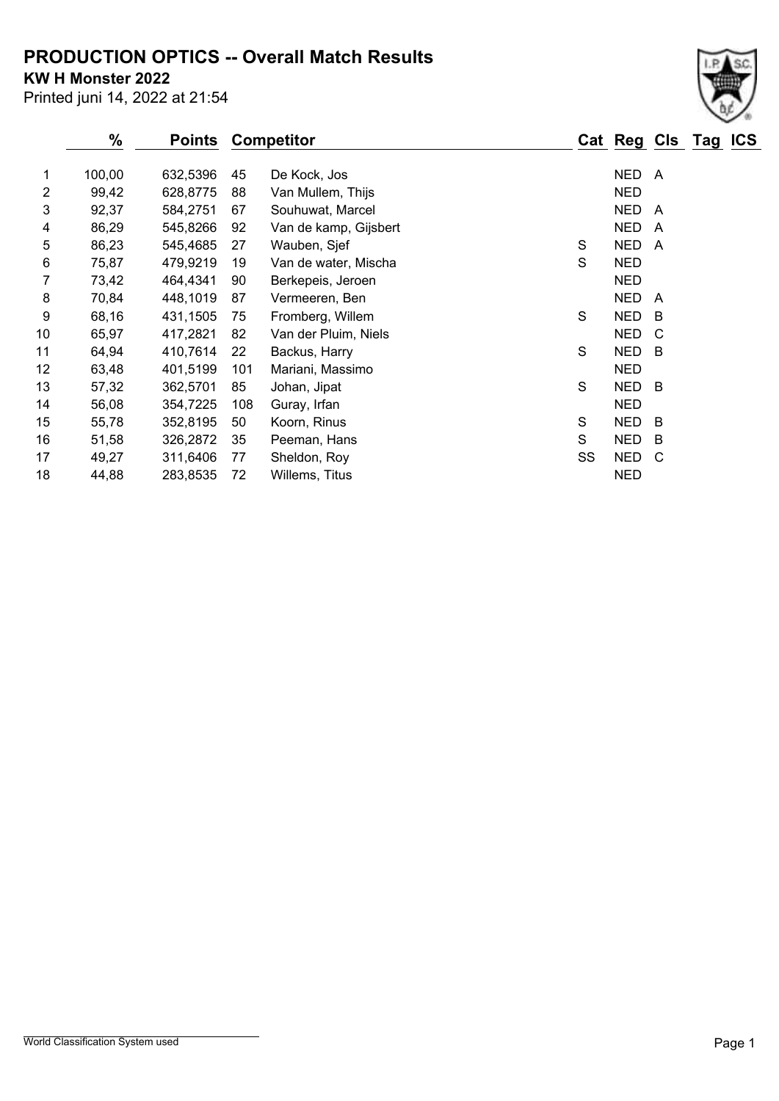## **PRODUCTION OPTICS -- Overall Match Results**

**KW H Monster 2022**

Printed juni 14, 2022 at 21:54

|    | $\%$   | Points   |     | <b>Competitor</b>     |    | Cat Reg Cls Tag |     | <b>ICS</b> |
|----|--------|----------|-----|-----------------------|----|-----------------|-----|------------|
| 1  | 100,00 | 632,5396 | 45  | De Kock, Jos          |    | NED             | A   |            |
| 2  | 99,42  | 628,8775 | 88  | Van Mullem, Thijs     |    | <b>NED</b>      |     |            |
| 3  | 92,37  | 584,2751 | 67  | Souhuwat, Marcel      |    | <b>NED</b>      | A   |            |
| 4  | 86,29  | 545,8266 | 92  | Van de kamp, Gijsbert |    | <b>NED</b>      | A   |            |
| 5  | 86,23  | 545,4685 | 27  | Wauben, Sjef          | S  | <b>NED</b>      | A   |            |
| 6  | 75,87  | 479,9219 | 19  | Van de water, Mischa  | S  | <b>NED</b>      |     |            |
| 7  | 73,42  | 464,4341 | 90  | Berkepeis, Jeroen     |    | <b>NED</b>      |     |            |
| 8  | 70,84  | 448,1019 | 87  | Vermeeren, Ben        |    | <b>NED</b>      | A   |            |
| 9  | 68,16  | 431,1505 | 75  | Fromberg, Willem      | S  | <b>NED</b>      | B   |            |
| 10 | 65,97  | 417,2821 | 82  | Van der Pluim, Niels  |    | <b>NED</b>      | C   |            |
| 11 | 64,94  | 410,7614 | 22  | Backus, Harry         | S  | <b>NED</b>      | - B |            |
| 12 | 63,48  | 401,5199 | 101 | Mariani, Massimo      |    | <b>NED</b>      |     |            |
| 13 | 57,32  | 362,5701 | 85  | Johan, Jipat          | S  | NED             | - B |            |
| 14 | 56,08  | 354,7225 | 108 | Guray, Irfan          |    | <b>NED</b>      |     |            |
| 15 | 55,78  | 352,8195 | 50  | Koorn, Rinus          | S  | <b>NED</b>      | - B |            |
| 16 | 51,58  | 326,2872 | 35  | Peeman, Hans          | S  | <b>NED</b>      | B   |            |
| 17 | 49,27  | 311,6406 | 77  | Sheldon, Roy          | SS | <b>NED</b>      | C   |            |
| 18 | 44,88  | 283,8535 | 72  | Willems, Titus        |    | <b>NED</b>      |     |            |

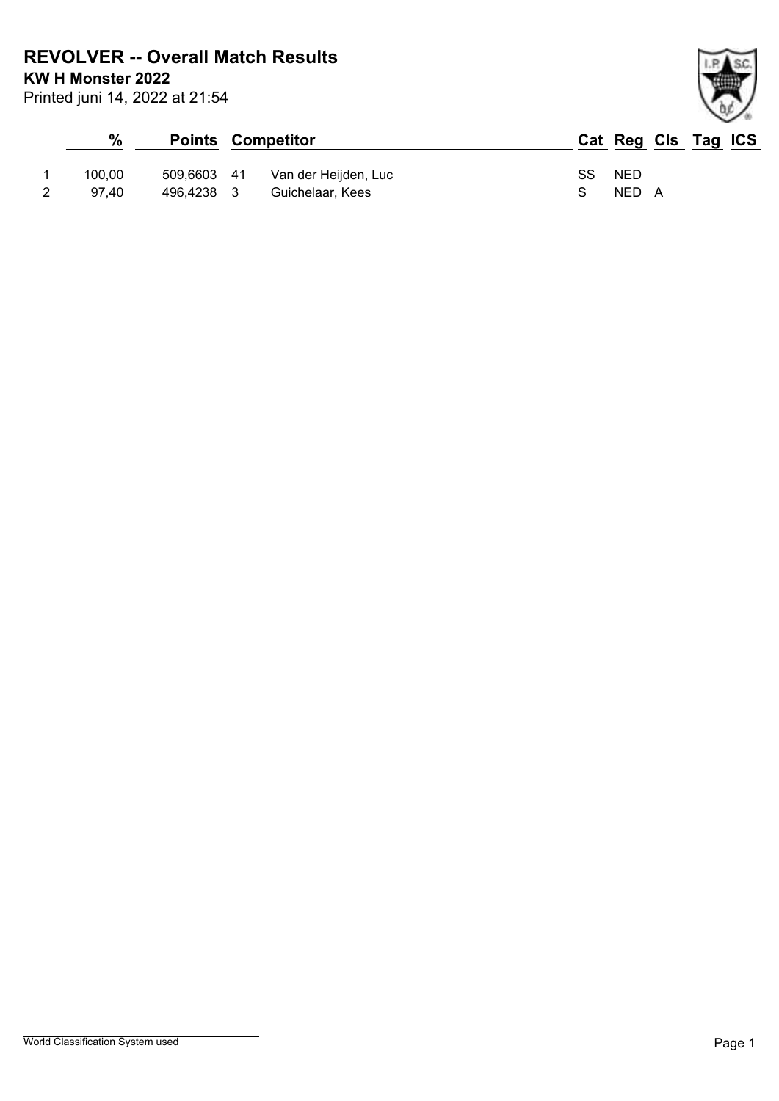**REVOLVER -- Overall Match Results**

**KW H Monster 2022**

Printed juni 14, 2022 at 21:54

### **% Points Competitor Cat Reg Cls Tag ICS** 1 100,00 509,6603 41 Van der Heijden, Luc SS NED 2 97,40 496,4238 3 Guichelaar, Kees S NED A

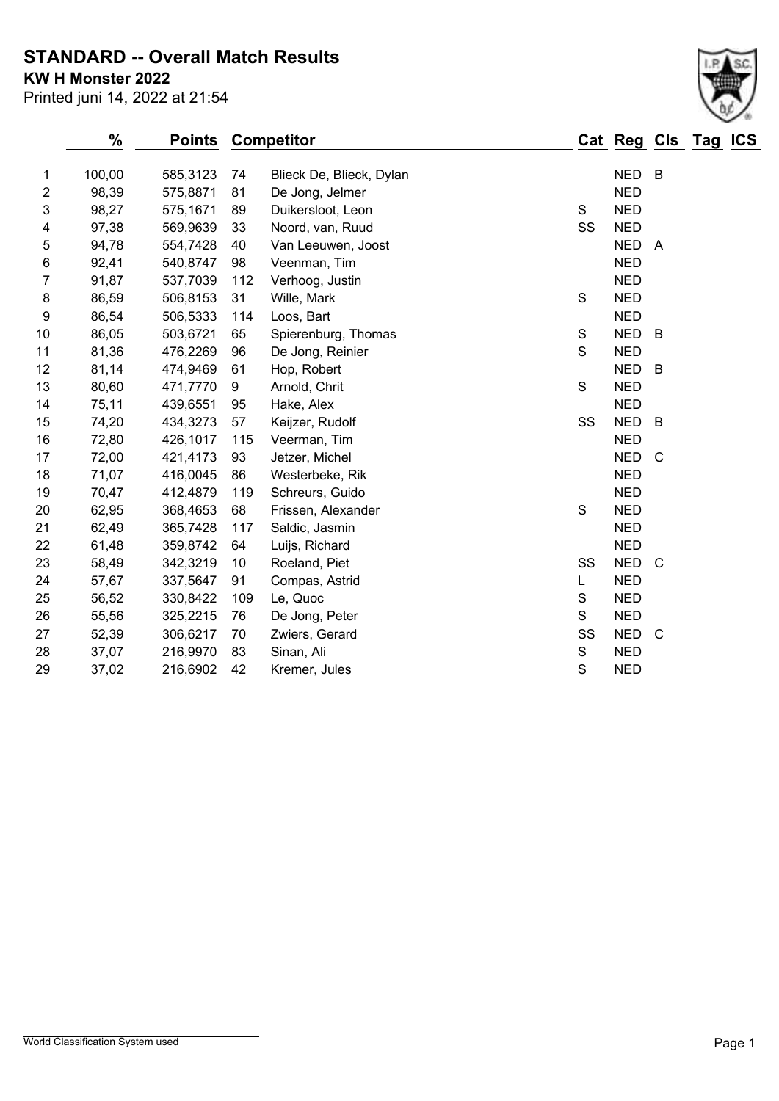### **STANDARD -- Overall Match Results**

**KW H Monster 2022**

| Printed juni 14, 2022 at 21:54 |  |  |  |  |  |  |
|--------------------------------|--|--|--|--|--|--|
|--------------------------------|--|--|--|--|--|--|

|                | $\%$<br><b>Points</b> |          |     | <b>Competitor</b>        |             |            |                | Cat Reg Cls Tag ICS |  |
|----------------|-----------------------|----------|-----|--------------------------|-------------|------------|----------------|---------------------|--|
| 1              | 100,00                | 585,3123 | 74  | Blieck De, Blieck, Dylan |             | NED B      |                |                     |  |
| $\overline{2}$ | 98,39                 | 575,8871 | 81  | De Jong, Jelmer          |             | <b>NED</b> |                |                     |  |
| 3              | 98,27                 | 575,1671 | 89  | Duikersloot, Leon        | S           | <b>NED</b> |                |                     |  |
| 4              | 97,38                 | 569,9639 | 33  | Noord, van, Ruud         | SS          | <b>NED</b> |                |                     |  |
| 5              | 94,78                 | 554,7428 | 40  | Van Leeuwen, Joost       |             | NED A      |                |                     |  |
| 6              | 92,41                 | 540,8747 | 98  | Veenman, Tim             |             | <b>NED</b> |                |                     |  |
| $\overline{7}$ | 91,87                 | 537,7039 | 112 | Verhoog, Justin          |             | <b>NED</b> |                |                     |  |
| 8              | 86,59                 | 506,8153 | 31  | Wille, Mark              | S           | <b>NED</b> |                |                     |  |
| 9              | 86,54                 | 506,5333 | 114 | Loos, Bart               |             | <b>NED</b> |                |                     |  |
| 10             | 86,05                 | 503,6721 | 65  | Spierenburg, Thomas      | S           | <b>NED</b> | $\overline{B}$ |                     |  |
| 11             | 81,36                 | 476,2269 | 96  | De Jong, Reinier         | S           | <b>NED</b> |                |                     |  |
| 12             | 81,14                 | 474,9469 | 61  | Hop, Robert              |             | <b>NED</b> | B              |                     |  |
| 13             | 80,60                 | 471,7770 | 9   | Arnold, Chrit            | S           | <b>NED</b> |                |                     |  |
| 14             | 75,11                 | 439,6551 | 95  | Hake, Alex               |             | <b>NED</b> |                |                     |  |
| 15             | 74,20                 | 434,3273 | 57  | Keijzer, Rudolf          | SS          | <b>NED</b> | B              |                     |  |
| 16             | 72,80                 | 426,1017 | 115 | Veerman, Tim             |             | <b>NED</b> |                |                     |  |
| 17             | 72,00                 | 421,4173 | 93  | Jetzer, Michel           |             | <b>NED</b> | $\mathsf{C}$   |                     |  |
| 18             | 71,07                 | 416,0045 | 86  | Westerbeke, Rik          |             | <b>NED</b> |                |                     |  |
| 19             | 70,47                 | 412,4879 | 119 | Schreurs, Guido          |             | <b>NED</b> |                |                     |  |
| 20             | 62,95                 | 368,4653 | 68  | Frissen, Alexander       | S           | <b>NED</b> |                |                     |  |
| 21             | 62,49                 | 365,7428 | 117 | Saldic, Jasmin           |             | <b>NED</b> |                |                     |  |
| 22             | 61,48                 | 359,8742 | 64  | Luijs, Richard           |             | <b>NED</b> |                |                     |  |
| 23             | 58,49                 | 342,3219 | 10  | Roeland, Piet            | SS          | <b>NED</b> | - C            |                     |  |
| 24             | 57,67                 | 337,5647 | 91  | Compas, Astrid           | L           | <b>NED</b> |                |                     |  |
| 25             | 56,52                 | 330,8422 | 109 | Le, Quoc                 | S           | <b>NED</b> |                |                     |  |
| 26             | 55,56                 | 325,2215 | 76  | De Jong, Peter           | S           | <b>NED</b> |                |                     |  |
| 27             | 52,39                 | 306,6217 | 70  | Zwiers, Gerard           | SS          | NED C      |                |                     |  |
| 28             | 37,07                 | 216,9970 | 83  | Sinan, Ali               | $\mathbb S$ | <b>NED</b> |                |                     |  |
| 29             | 37,02                 | 216,6902 | 42  | Kremer, Jules            | S           | <b>NED</b> |                |                     |  |
|                |                       |          |     |                          |             |            |                |                     |  |